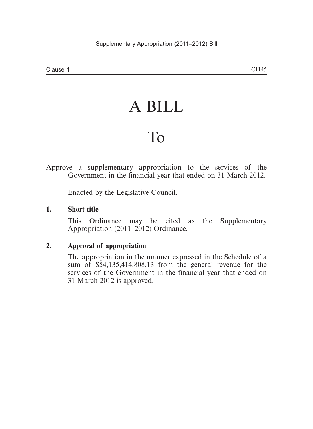# A BILL

## To

Approve a supplementary appropriation to the services of the Government in the financial year that ended on 31 March 2012.

Enacted by the Legislative Council.

#### **1. Short title**

This Ordinance may be cited as the Supplementary Appropriation (2011–2012) Ordinance.

#### **2. Approval of appropriation**

The appropriation in the manner expressed in the Schedule of a sum of \$54,135,414,808.13 from the general revenue for the services of the Government in the financial year that ended on 31 March 2012 is approved.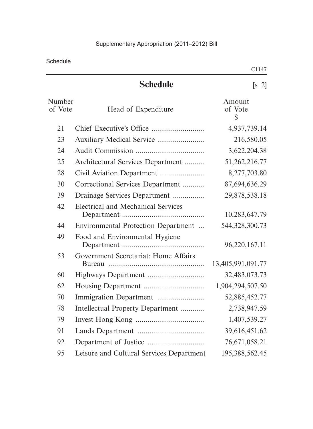Schedule

|                   |                                           | <b>○ⅠⅠ⊤</b> /                    |
|-------------------|-------------------------------------------|----------------------------------|
|                   | <b>Schedule</b>                           | [s, 2]                           |
| Number<br>of Vote | Head of Expenditure                       | Amount<br>of Vote<br>$\mathbb S$ |
| 21                |                                           | 4,937,739.14                     |
| 23                |                                           | 216,580.05                       |
| 24                |                                           | 3,622,204.38                     |
| 25                | Architectural Services Department         | 51,262,216.77                    |
| 28                |                                           | 8,277,703.80                     |
| 30                | Correctional Services Department          | 87,694,636.29                    |
| 39                | Drainage Services Department              | 29,878,538.18                    |
| 42                | <b>Electrical and Mechanical Services</b> | 10,283,647.79                    |
| 44                | Environmental Protection Department       | 544, 328, 300. 73                |
| 49                | Food and Environmental Hygiene            | 96,220,167.11                    |
| 53                | Government Secretariat: Home Affairs      | 13,405,991,091.77                |
| 60                | Highways Department                       | 32,483,073.73                    |
| 62                |                                           | 1,904,294,507.50                 |
| 70                |                                           | 52,885,452.77                    |
| 78                | Intellectual Property Department          | 2,738,947.59                     |
| 79                |                                           | 1,407,539.27                     |
| 91                |                                           | 39,616,451.62                    |
| 92                |                                           | 76,671,058.21                    |

95 Leisure and Cultural Services Department 195,388,562.45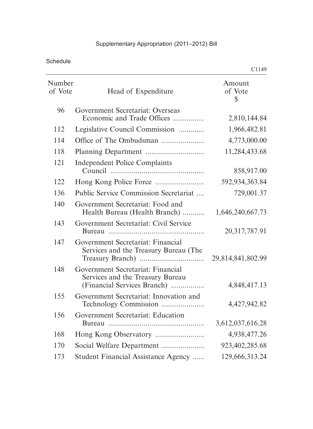## Supplementary Appropriation (2011–2012) Bill

Schedule

|                   |                                                                                                                 | C1149                   |
|-------------------|-----------------------------------------------------------------------------------------------------------------|-------------------------|
| Number<br>of Vote | Head of Expenditure                                                                                             | Amount<br>of Vote<br>\$ |
| 96                | Government Secretariat: Overseas<br>Economic and Trade Offices                                                  | 2,810,144.84            |
| 112               | Legislative Council Commission                                                                                  | 1,966,482.81            |
| 114               |                                                                                                                 | 4,773,000.00            |
| 118               |                                                                                                                 | 11,284,433.68           |
| 121               | <b>Independent Police Complaints</b>                                                                            | 858,917.00              |
| 122               |                                                                                                                 | 592,934,363.84          |
| 136               | <b>Public Service Commission Secretariat</b>                                                                    | 729,001.37              |
| 140               | Government Secretariat: Food and<br>Health Bureau (Health Branch)                                               | 1,646,240,667.73        |
| 143               | Government Secretariat: Civil Service                                                                           | 20, 317, 787. 91        |
| 147<br>148        | Government Secretariat: Financial<br>Services and the Treasury Bureau (The<br>Government Secretariat: Financial | 29,814,841,802.99       |
|                   | Services and the Treasury Bureau<br>(Financial Services Branch)                                                 | 4,848,417.13            |
| 155               | Government Secretariat: Innovation and<br>Technology Commission                                                 | 4,427,942.82            |
| 156               | Government Secretariat: Education<br><b>Bureau</b>                                                              | 3,612,037,616.28        |
| 168               |                                                                                                                 | 4,938,477.26            |
| 170               | Social Welfare Department                                                                                       | 923,402,285.68          |
| 173               | Student Financial Assistance Agency                                                                             | 129,666,313.24          |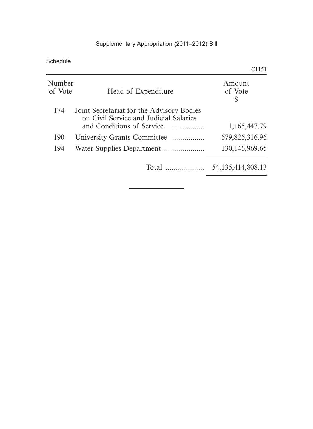## Supplementary Appropriation (2011–2012) Bill

Schedule

|                   |                                                                                                                  | C1151                  |
|-------------------|------------------------------------------------------------------------------------------------------------------|------------------------|
| Number<br>of Vote | Head of Expenditure                                                                                              | Amount<br>of Vote<br>S |
| 174               | Joint Secretariat for the Advisory Bodies<br>on Civil Service and Judicial Salaries<br>and Conditions of Service | 1,165,447.79           |
| 190               | University Grants Committee                                                                                      | 679,826,316.96         |
| 194               |                                                                                                                  | 130, 146, 969. 65      |
|                   |                                                                                                                  | 54, 135, 414, 808. 13  |